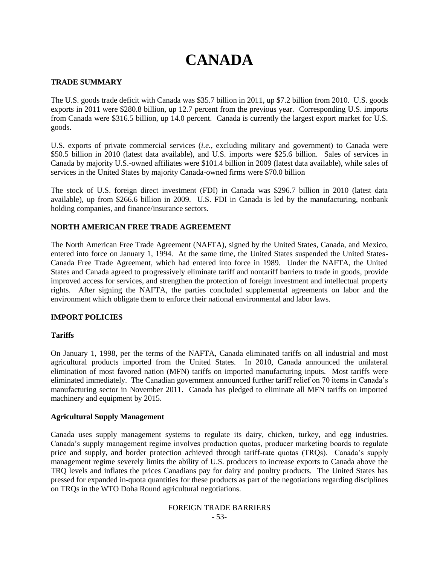# **CANADA**

# **TRADE SUMMARY**

The U.S. goods trade deficit with Canada was \$35.7 billion in 2011, up \$7.2 billion from 2010. U.S. goods exports in 2011 were \$280.8 billion, up 12.7 percent from the previous year. Corresponding U.S. imports from Canada were \$316.5 billion, up 14.0 percent. Canada is currently the largest export market for U.S. goods.

U.S. exports of private commercial services (*i.e.*, excluding military and government) to Canada were \$50.5 billion in 2010 (latest data available), and U.S. imports were \$25.6 billion. Sales of services in Canada by majority U.S.-owned affiliates were \$101.4 billion in 2009 (latest data available), while sales of services in the United States by majority Canada-owned firms were \$70.0 billion

The stock of U.S. foreign direct investment (FDI) in Canada was \$296.7 billion in 2010 (latest data available), up from \$266.6 billion in 2009. U.S. FDI in Canada is led by the manufacturing, nonbank holding companies, and finance/insurance sectors.

# **NORTH AMERICAN FREE TRADE AGREEMENT**

The North American Free Trade Agreement (NAFTA), signed by the United States, Canada, and Mexico, entered into force on January 1, 1994. At the same time, the United States suspended the United States-Canada Free Trade Agreement, which had entered into force in 1989. Under the NAFTA, the United States and Canada agreed to progressively eliminate tariff and nontariff barriers to trade in goods, provide improved access for services, and strengthen the protection of foreign investment and intellectual property rights. After signing the NAFTA, the parties concluded supplemental agreements on labor and the environment which obligate them to enforce their national environmental and labor laws.

#### **IMPORT POLICIES**

#### **Tariffs**

On January 1, 1998, per the terms of the NAFTA, Canada eliminated tariffs on all industrial and most agricultural products imported from the United States. In 2010, Canada announced the unilateral elimination of most favored nation (MFN) tariffs on imported manufacturing inputs. Most tariffs were eliminated immediately. The Canadian government announced further tariff relief on 70 items in Canada"s manufacturing sector in November 2011. Canada has pledged to eliminate all MFN tariffs on imported machinery and equipment by 2015.

#### **Agricultural Supply Management**

Canada uses supply management systems to regulate its dairy, chicken, turkey, and egg industries. Canada"s supply management regime involves production quotas, producer marketing boards to regulate price and supply, and border protection achieved through tariff-rate quotas (TROs). Canada's supply management regime severely limits the ability of U.S. producers to increase exports to Canada above the TRQ levels and inflates the prices Canadians pay for dairy and poultry products. The United States has pressed for expanded in-quota quantities for these products as part of the negotiations regarding disciplines on TRQs in the WTO Doha Round agricultural negotiations.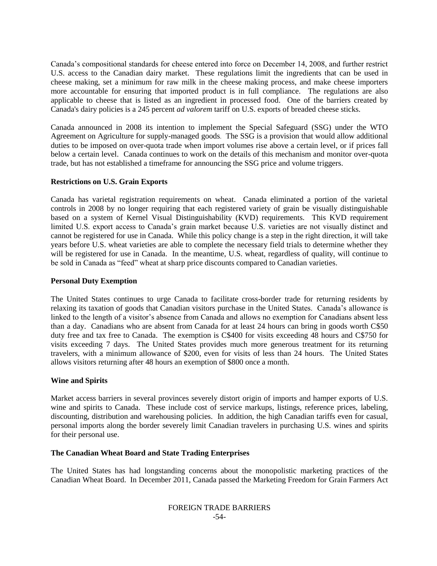Canada"s compositional standards for cheese entered into force on December 14, 2008, and further restrict U.S. access to the Canadian dairy market. These regulations limit the ingredients that can be used in cheese making, set a minimum for raw milk in the cheese making process, and make cheese importers more accountable for ensuring that imported product is in full compliance. The regulations are also applicable to cheese that is listed as an ingredient in processed food. One of the barriers created by Canada's dairy policies is a 245 percent *ad valorem* tariff on U.S. exports of breaded cheese sticks.

Canada announced in 2008 its intention to implement the Special Safeguard (SSG) under the WTO Agreement on Agriculture for supply-managed goods. The SSG is a provision that would allow additional duties to be imposed on over-quota trade when import volumes rise above a certain level, or if prices fall below a certain level. Canada continues to work on the details of this mechanism and monitor over-quota trade, but has not established a timeframe for announcing the SSG price and volume triggers.

#### **Restrictions on U.S. Grain Exports**

Canada has varietal registration requirements on wheat. Canada eliminated a portion of the varietal controls in 2008 by no longer requiring that each registered variety of grain be visually distinguishable based on a system of Kernel Visual Distinguishability (KVD) requirements. This KVD requirement limited U.S. export access to Canada"s grain market because U.S. varieties are not visually distinct and cannot be registered for use in Canada. While this policy change is a step in the right direction, it will take years before U.S. wheat varieties are able to complete the necessary field trials to determine whether they will be registered for use in Canada. In the meantime, U.S. wheat, regardless of quality, will continue to be sold in Canada as "feed" wheat at sharp price discounts compared to Canadian varieties.

#### **Personal Duty Exemption**

The United States continues to urge Canada to facilitate cross-border trade for returning residents by relaxing its taxation of goods that Canadian visitors purchase in the United States. Canada"s allowance is linked to the length of a visitor's absence from Canada and allows no exemption for Canadians absent less than a day. Canadians who are absent from Canada for at least 24 hours can bring in goods worth C\$50 duty free and tax free to Canada. The exemption is C\$400 for visits exceeding 48 hours and C\$750 for visits exceeding 7 days. The United States provides much more generous treatment for its returning travelers, with a minimum allowance of \$200, even for visits of less than 24 hours. The United States allows visitors returning after 48 hours an exemption of \$800 once a month.

#### **Wine and Spirits**

Market access barriers in several provinces severely distort origin of imports and hamper exports of U.S. wine and spirits to Canada. These include cost of service markups, listings, reference prices, labeling, discounting, distribution and warehousing policies. In addition, the high Canadian tariffs even for casual, personal imports along the border severely limit Canadian travelers in purchasing U.S. wines and spirits for their personal use.

#### **The Canadian Wheat Board and State Trading Enterprises**

The United States has had longstanding concerns about the monopolistic marketing practices of the Canadian Wheat Board. In December 2011, Canada passed the Marketing Freedom for Grain Farmers Act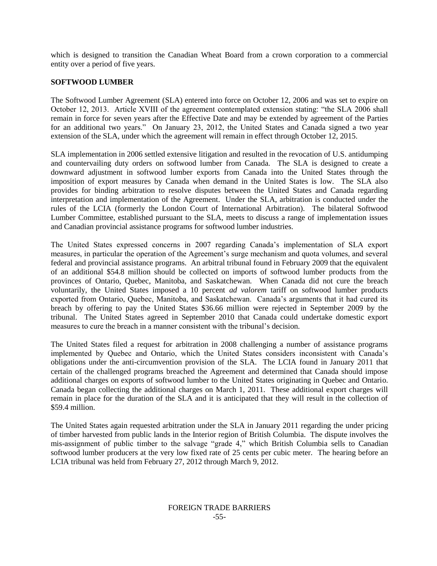which is designed to transition the Canadian Wheat Board from a crown corporation to a commercial entity over a period of five years.

#### **SOFTWOOD LUMBER**

The Softwood Lumber Agreement (SLA) entered into force on October 12, 2006 and was set to expire on October 12, 2013. Article XVIII of the agreement contemplated extension stating: "the SLA 2006 shall remain in force for seven years after the Effective Date and may be extended by agreement of the Parties for an additional two years." On January 23, 2012, the United States and Canada signed a two year extension of the SLA, under which the agreement will remain in effect through October 12, 2015.

SLA implementation in 2006 settled extensive litigation and resulted in the revocation of U.S. antidumping and countervailing duty orders on softwood lumber from Canada. The SLA is designed to create a downward adjustment in softwood lumber exports from Canada into the United States through the imposition of export measures by Canada when demand in the United States is low. The SLA also provides for binding arbitration to resolve disputes between the United States and Canada regarding interpretation and implementation of the Agreement. Under the SLA, arbitration is conducted under the rules of the LCIA (formerly the London Court of International Arbitration). The bilateral Softwood Lumber Committee, established pursuant to the SLA, meets to discuss a range of implementation issues and Canadian provincial assistance programs for softwood lumber industries.

The United States expressed concerns in 2007 regarding Canada"s implementation of SLA export measures, in particular the operation of the Agreement's surge mechanism and quota volumes, and several federal and provincial assistance programs. An arbitral tribunal found in February 2009 that the equivalent of an additional \$54.8 million should be collected on imports of softwood lumber products from the provinces of Ontario, Quebec, Manitoba, and Saskatchewan. When Canada did not cure the breach voluntarily, the United States imposed a 10 percent *ad valorem* tariff on softwood lumber products exported from Ontario, Quebec, Manitoba, and Saskatchewan. Canada"s arguments that it had cured its breach by offering to pay the United States \$36.66 million were rejected in September 2009 by the tribunal. The United States agreed in September 2010 that Canada could undertake domestic export measures to cure the breach in a manner consistent with the tribunal's decision.

The United States filed a request for arbitration in 2008 challenging a number of assistance programs implemented by Quebec and Ontario, which the United States considers inconsistent with Canada"s obligations under the anti-circumvention provision of the SLA. The LCIA found in January 2011 that certain of the challenged programs breached the Agreement and determined that Canada should impose additional charges on exports of softwood lumber to the United States originating in Quebec and Ontario. Canada began collecting the additional charges on March 1, 2011. These additional export charges will remain in place for the duration of the SLA and it is anticipated that they will result in the collection of \$59.4 million.

The United States again requested arbitration under the SLA in January 2011 regarding the under pricing of timber harvested from public lands in the Interior region of British Columbia. The dispute involves the mis-assignment of public timber to the salvage "grade 4," which British Columbia sells to Canadian softwood lumber producers at the very low fixed rate of 25 cents per cubic meter. The hearing before an LCIA tribunal was held from February 27, 2012 through March 9, 2012.

#### FOREIGN TRADE BARRIERS -55-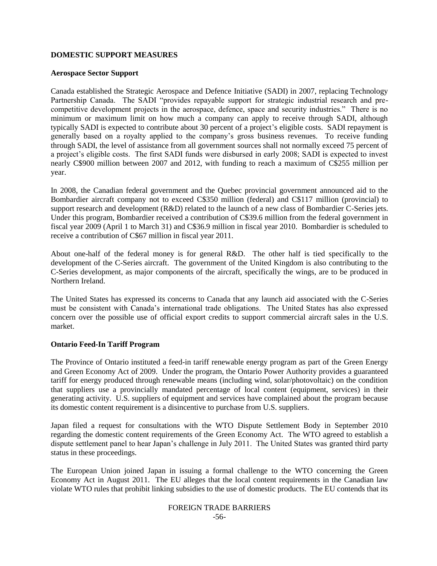# **DOMESTIC SUPPORT MEASURES**

#### **Aerospace Sector Support**

Canada established the Strategic Aerospace and Defence Initiative (SADI) in 2007, replacing Technology Partnership Canada. The SADI "provides repayable support for strategic industrial research and precompetitive development projects in the aerospace, defence, space and security industries." There is no minimum or maximum limit on how much a company can apply to receive through SADI, although typically SADI is expected to contribute about 30 percent of a project"s eligible costs. SADI repayment is generally based on a royalty applied to the company"s gross business revenues. To receive funding through SADI, the level of assistance from all government sources shall not normally exceed 75 percent of a project's eligible costs. The first SADI funds were disbursed in early 2008; SADI is expected to invest nearly C\$900 million between 2007 and 2012, with funding to reach a maximum of C\$255 million per year.

In 2008, the Canadian federal government and the Quebec provincial government announced aid to the Bombardier aircraft company not to exceed C\$350 million (federal) and C\$117 million (provincial) to support research and development (R&D) related to the launch of a new class of Bombardier C-Series jets. Under this program, Bombardier received a contribution of C\$39.6 million from the federal government in fiscal year 2009 (April 1 to March 31) and C\$36.9 million in fiscal year 2010. Bombardier is scheduled to receive a contribution of C\$67 million in fiscal year 2011.

About one-half of the federal money is for general R&D. The other half is tied specifically to the development of the C-Series aircraft. The government of the United Kingdom is also contributing to the C-Series development, as major components of the aircraft, specifically the wings, are to be produced in Northern Ireland.

The United States has expressed its concerns to Canada that any launch aid associated with the C-Series must be consistent with Canada"s international trade obligations. The United States has also expressed concern over the possible use of official export credits to support commercial aircraft sales in the U.S. market.

#### **Ontario Feed-In Tariff Program**

The Province of Ontario instituted a feed-in tariff renewable energy program as part of the Green Energy and Green Economy Act of 2009. Under the program, the Ontario Power Authority provides a guaranteed tariff for energy produced through renewable means (including wind, solar/photovoltaic) on the condition that suppliers use a provincially mandated percentage of local content (equipment, services) in their generating activity. U.S. suppliers of equipment and services have complained about the program because its domestic content requirement is a disincentive to purchase from U.S. suppliers.

Japan filed a request for consultations with the WTO Dispute Settlement Body in September 2010 regarding the domestic content requirements of the Green Economy Act. The WTO agreed to establish a dispute settlement panel to hear Japan"s challenge in July 2011. The United States was granted third party status in these proceedings.

The European Union joined Japan in issuing a formal challenge to the WTO concerning the Green Economy Act in August 2011. The EU alleges that the local content requirements in the Canadian law violate WTO rules that prohibit linking subsidies to the use of domestic products. The EU contends that its

# FOREIGN TRADE BARRIERS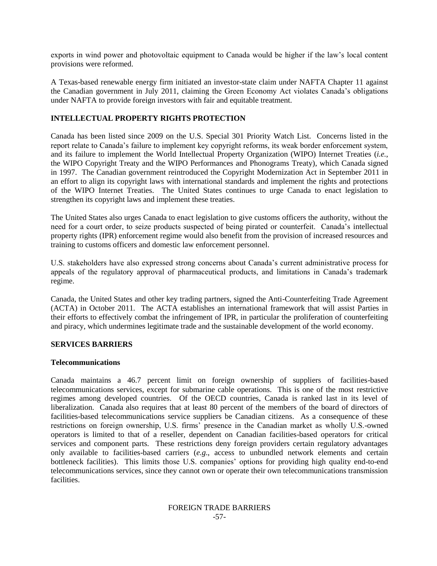exports in wind power and photovoltaic equipment to Canada would be higher if the law"s local content provisions were reformed.

A Texas-based renewable energy firm initiated an investor-state claim under NAFTA Chapter 11 against the Canadian government in July 2011, claiming the Green Economy Act violates Canada"s obligations under NAFTA to provide foreign investors with fair and equitable treatment.

# **INTELLECTUAL PROPERTY RIGHTS PROTECTION**

Canada has been listed since 2009 on the U.S. Special 301 Priority Watch List. Concerns listed in the report relate to Canada"s failure to implement key copyright reforms, its weak border enforcement system, and its failure to implement the World Intellectual Property Organization (WIPO) Internet Treaties (*i.e.*, the WIPO Copyright Treaty and the WIPO Performances and Phonograms Treaty), which Canada signed in 1997. The Canadian government reintroduced the Copyright Modernization Act in September 2011 in an effort to align its copyright laws with international standards and implement the rights and protections of the WIPO Internet Treaties. The United States continues to urge Canada to enact legislation to strengthen its copyright laws and implement these treaties.

The United States also urges Canada to enact legislation to give customs officers the authority, without the need for a court order, to seize products suspected of being pirated or counterfeit. Canada"s intellectual property rights (IPR) enforcement regime would also benefit from the provision of increased resources and training to customs officers and domestic law enforcement personnel.

U.S. stakeholders have also expressed strong concerns about Canada"s current administrative process for appeals of the regulatory approval of pharmaceutical products, and limitations in Canada's trademark regime.

Canada, the United States and other key trading partners, signed the Anti-Counterfeiting Trade Agreement (ACTA) in October 2011. The ACTA establishes an international framework that will assist Parties in their efforts to effectively combat the infringement of IPR, in particular the proliferation of counterfeiting and piracy, which undermines legitimate trade and the sustainable development of the world economy.

#### **SERVICES BARRIERS**

#### **Telecommunications**

Canada maintains a 46.7 percent limit on foreign ownership of suppliers of facilities-based telecommunications services, except for submarine cable operations. This is one of the most restrictive regimes among developed countries. Of the OECD countries, Canada is ranked last in its level of liberalization. Canada also requires that at least 80 percent of the members of the board of directors of facilities-based telecommunications service suppliers be Canadian citizens. As a consequence of these restrictions on foreign ownership, U.S. firms" presence in the Canadian market as wholly U.S.-owned operators is limited to that of a reseller, dependent on Canadian facilities-based operators for critical services and component parts. These restrictions deny foreign providers certain regulatory advantages only available to facilities-based carriers (*e.g*., access to unbundled network elements and certain bottleneck facilities). This limits those U.S. companies" options for providing high quality end-to-end telecommunications services, since they cannot own or operate their own telecommunications transmission facilities.

#### FOREIGN TRADE BARRIERS -57-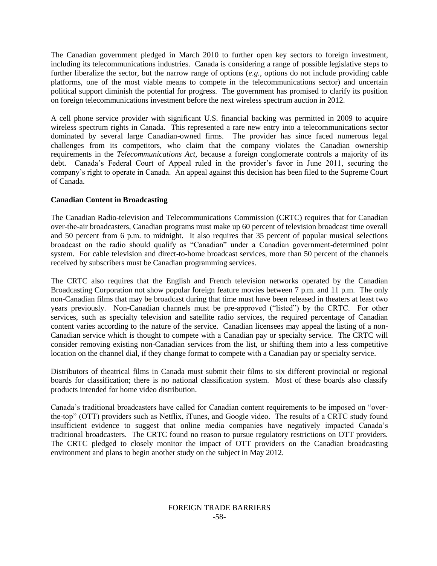The Canadian government pledged in March 2010 to further open key sectors to foreign investment, including its telecommunications industries. Canada is considering a range of possible legislative steps to further liberalize the sector, but the narrow range of options (*e.g.*, options do not include providing cable platforms, one of the most viable means to compete in the telecommunications sector) and uncertain political support diminish the potential for progress. The government has promised to clarify its position on foreign telecommunications investment before the next wireless spectrum auction in 2012.

A cell phone service provider with significant U.S. financial backing was permitted in 2009 to acquire wireless spectrum rights in Canada. This represented a rare new entry into a telecommunications sector dominated by several large Canadian-owned firms. The provider has since faced numerous legal challenges from its competitors, who claim that the company violates the Canadian ownership requirements in the *Telecommunications Act*, because a foreign conglomerate controls a majority of its debt. Canada's Federal Court of Appeal ruled in the provider's favor in June 2011, securing the company"s right to operate in Canada. An appeal against this decision has been filed to the Supreme Court of Canada.

# **Canadian Content in Broadcasting**

The Canadian Radio-television and Telecommunications Commission (CRTC) requires that for Canadian over-the-air broadcasters, Canadian programs must make up 60 percent of television broadcast time overall and 50 percent from 6 p.m. to midnight. It also requires that 35 percent of popular musical selections broadcast on the radio should qualify as "Canadian" under a Canadian government-determined point system. For cable television and direct-to-home broadcast services, more than 50 percent of the channels received by subscribers must be Canadian programming services.

The CRTC also requires that the English and French television networks operated by the Canadian Broadcasting Corporation not show popular foreign feature movies between 7 p.m. and 11 p.m. The only non-Canadian films that may be broadcast during that time must have been released in theaters at least two years previously. Non-Canadian channels must be pre-approved ("listed") by the CRTC. For other services, such as specialty television and satellite radio services, the required percentage of Canadian content varies according to the nature of the service. Canadian licensees may appeal the listing of a non-Canadian service which is thought to compete with a Canadian pay or specialty service. The CRTC will consider removing existing non-Canadian services from the list, or shifting them into a less competitive location on the channel dial, if they change format to compete with a Canadian pay or specialty service.

Distributors of theatrical films in Canada must submit their films to six different provincial or regional boards for classification; there is no national classification system. Most of these boards also classify products intended for home video distribution.

Canada"s traditional broadcasters have called for Canadian content requirements to be imposed on "overthe-top" (OTT) providers such as Netflix, iTunes, and Google video. The results of a CRTC study found insufficient evidence to suggest that online media companies have negatively impacted Canada"s traditional broadcasters. The CRTC found no reason to pursue regulatory restrictions on OTT providers. The CRTC pledged to closely monitor the impact of OTT providers on the Canadian broadcasting environment and plans to begin another study on the subject in May 2012.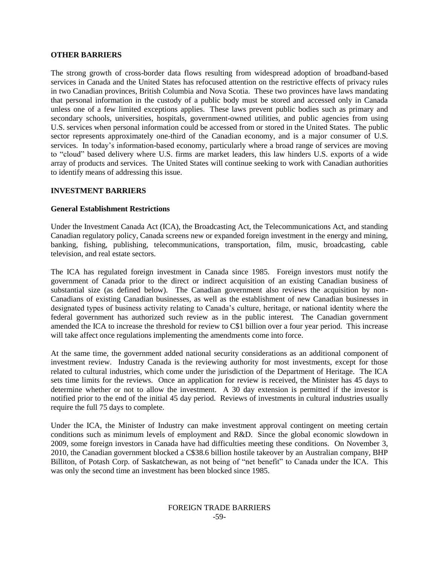#### **OTHER BARRIERS**

The strong growth of cross-border data flows resulting from widespread adoption of broadband-based services in Canada and the United States has refocused attention on the restrictive effects of privacy rules in two Canadian provinces, British Columbia and Nova Scotia. These two provinces have laws mandating that personal information in the custody of a public body must be stored and accessed only in Canada unless one of a few limited exceptions applies. These laws prevent public bodies such as primary and secondary schools, universities, hospitals, government-owned utilities, and public agencies from using U.S. services when personal information could be accessed from or stored in the United States. The public sector represents approximately one-third of the Canadian economy, and is a major consumer of U.S. services. In today's information-based economy, particularly where a broad range of services are moving to "cloud" based delivery where U.S. firms are market leaders, this law hinders U.S. exports of a wide array of products and services. The United States will continue seeking to work with Canadian authorities to identify means of addressing this issue.

#### **INVESTMENT BARRIERS**

#### **General Establishment Restrictions**

Under the Investment Canada Act (ICA), the Broadcasting Act, the Telecommunications Act, and standing Canadian regulatory policy, Canada screens new or expanded foreign investment in the energy and mining, banking, fishing, publishing, telecommunications, transportation, film, music, broadcasting, cable television, and real estate sectors.

The ICA has regulated foreign investment in Canada since 1985. Foreign investors must notify the government of Canada prior to the direct or indirect acquisition of an existing Canadian business of substantial size (as defined below). The Canadian government also reviews the acquisition by non-Canadians of existing Canadian businesses, as well as the establishment of new Canadian businesses in designated types of business activity relating to Canada"s culture, heritage, or national identity where the federal government has authorized such review as in the public interest. The Canadian government amended the ICA to increase the threshold for review to C\$1 billion over a four year period. This increase will take affect once regulations implementing the amendments come into force.

At the same time, the government added national security considerations as an additional component of investment review. Industry Canada is the reviewing authority for most investments, except for those related to cultural industries, which come under the jurisdiction of the Department of Heritage. The ICA sets time limits for the reviews. Once an application for review is received, the Minister has 45 days to determine whether or not to allow the investment. A 30 day extension is permitted if the investor is notified prior to the end of the initial 45 day period. Reviews of investments in cultural industries usually require the full 75 days to complete.

Under the ICA, the Minister of Industry can make investment approval contingent on meeting certain conditions such as minimum levels of employment and R&D. Since the global economic slowdown in 2009, some foreign investors in Canada have had difficulties meeting these conditions. On November 3, 2010, the Canadian government blocked a C\$38.6 billion hostile takeover by an Australian company, BHP Billiton, of Potash Corp. of Saskatchewan, as not being of "net benefit" to Canada under the ICA. This was only the second time an investment has been blocked since 1985.